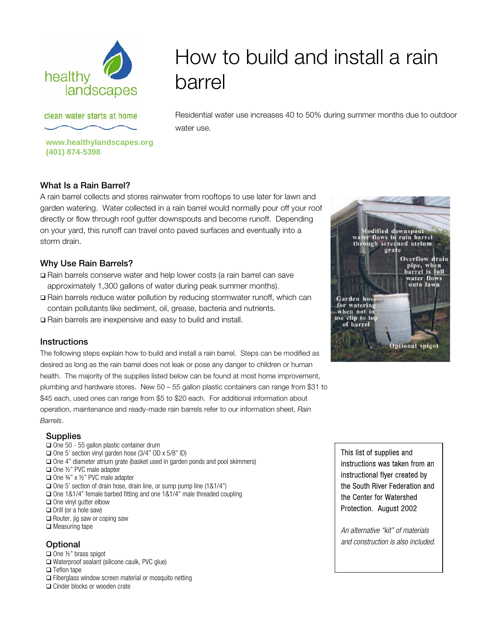

# How to build and install a rain barrel

clean water starts at home

**www.healthylandscapes.org** 

Residential water use increases 40 to 50% during summer months due to outdoor water use.

## **What Is a Rain Barrel?**

**(401) 874-5398**

A rain barrel collects and stores rainwater from rooftops to use later for lawn and garden watering. Water collected in a rain barrel would normally pour off your roof directly or flow through roof gutter downspouts and become runoff. Depending on your yard, this runoff can travel onto paved surfaces and eventually into a storm drain.

## **Why Use Rain Barrels?**

- Rain barrels conserve water and help lower costs (a rain barrel can save approximately 1,300 gallons of water during peak summer months).
- Rain barrels reduce water pollution by reducing stormwater runoff, which can contain pollutants like sediment, oil, grease, bacteria and nutrients.
- Rain barrels are inexpensive and easy to build and install.

## **Instructions**

The following steps explain how to build and install a rain barrel. Steps can be modified as desired as long as the rain barrel does not leak or pose any danger to children or human health. The majority of the supplies listed below can be found at most home improvement, plumbing and hardware stores. New 50 – 55 gallon plastic containers can range from \$31 to \$45 each, used ones can range from \$5 to \$20 each. For additional information about operation, maintenance and ready-made rain barrels refer to our information sheet, *Rain Barrels*.



#### **Supplies**

 $\Box$  One 50 - 55 gallon plastic container drum  $\Box$  One 5' section vinyl garden hose (3/4" OD x 5/8" ID)  $\Box$  One 4" diameter atrium grate (basket used in garden ponds and pool skimmers) □ One ½" PVC male adapter One ¾" x ½" PVC male adapter  $\Box$  One 5' section of drain hose, drain line, or sump pump line (1&1/4") One 1&1/4" female barbed fitting and one 1&1/4" male threaded coupling  $\Box$  One vinyl gutter elbow  $\Box$  Drill (or a hole saw)  $\Box$  Router, jig saw or coping saw  $\Box$  Measuring tape

## **Optional**

- $\Box$  One 1/2" brass spigot
- Waterproof sealant (silicone caulk, PVC glue)
- □ Teflon tape
- $\Box$  Fiberglass window screen material or mosquito netting
- □ Cinder blocks or wooden crate

This list of supplies and instructions was taken from an instructional flyer created by the South River Federation and the Center for Watershed Protection. August 2002

*An alternative "kit" of materials and construction is also included.*